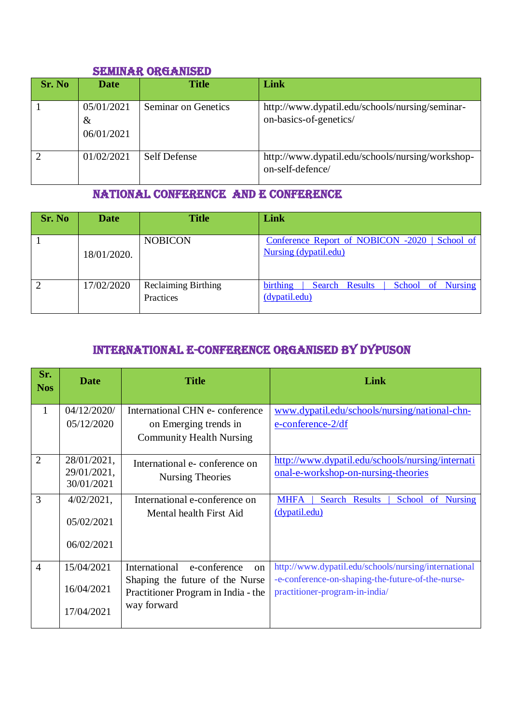#### SEMINAR ORGANISED

| Sr. No | <b>Date</b>                      | <b>Title</b>               | Link                                                                      |
|--------|----------------------------------|----------------------------|---------------------------------------------------------------------------|
|        | 05/01/2021<br>$\&$<br>06/01/2021 | <b>Seminar on Genetics</b> | http://www.dypatil.edu/schools/nursing/seminar-<br>on-basics-of-genetics/ |
|        | 01/02/2021                       | <b>Self Defense</b>        | http://www.dypatil.edu/schools/nursing/workshop-<br>on-self-defence/      |

#### National Conference and e conference

| Sr. No | <b>Date</b> | <b>Title</b>                            | Link                                                                    |
|--------|-------------|-----------------------------------------|-------------------------------------------------------------------------|
|        | 18/01/2020. | <b>NOBICON</b>                          | Conference Report of NOBICON -2020   School of<br>Nursing (dypatil.edu) |
|        | 17/02/2020  | <b>Reclaiming Birthing</b><br>Practices | birthing<br>School of Nursing<br>Search Results<br>(dypatil.edu)        |

# International e-CONFERENCE ORGANISED by dypuson

| Sr.<br><b>Nos</b> | <b>Date</b>                              | <b>Title</b>                                                           | Link                                                                                    |  |
|-------------------|------------------------------------------|------------------------------------------------------------------------|-----------------------------------------------------------------------------------------|--|
| $\mathbf{1}$      | 04/12/2020/                              | International CHN e-conference                                         | www.dypatil.edu/schools/nursing/national-chn-                                           |  |
|                   | 05/12/2020                               | on Emerging trends in<br><b>Community Health Nursing</b>               | $e$ -conference- $2/df$                                                                 |  |
| $\overline{2}$    | 28/01/2021,<br>29/01/2021,<br>30/01/2021 | International e-conference on<br>Nursing Theories                      | http://www.dypatil.edu/schools/nursing/internati<br>onal-e-workshop-on-nursing-theories |  |
| 3                 | $4/02/2021$ ,                            | International e-conference on                                          | <b>MHFA</b><br>Search Results<br>School of Nursing                                      |  |
|                   | 05/02/2021                               | Mental health First Aid                                                | (dypatil.edu)                                                                           |  |
|                   | 06/02/2021                               |                                                                        |                                                                                         |  |
| $\overline{4}$    | 15/04/2021                               | International<br>e-conference<br><sub>on</sub>                         | http://www.dypatil.edu/schools/nursing/international                                    |  |
|                   | 16/04/2021                               | Shaping the future of the Nurse<br>Practitioner Program in India - the | -e-conference-on-shaping-the-future-of-the-nurse-<br>practitioner-program-in-india/     |  |
|                   | 17/04/2021                               | way forward                                                            |                                                                                         |  |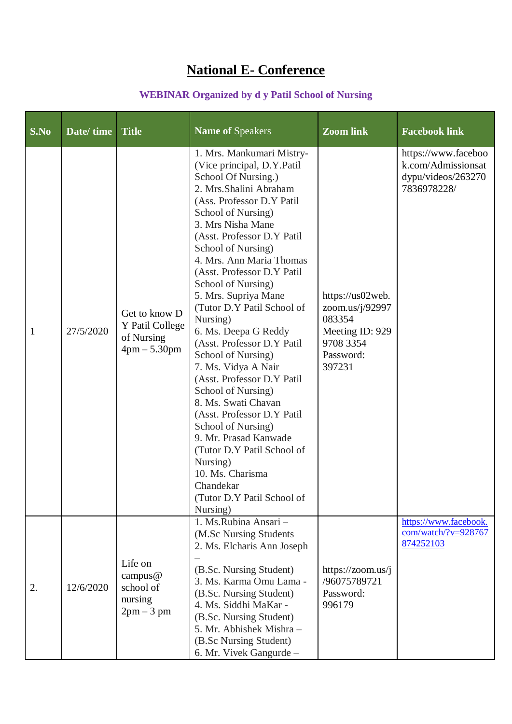# **National E- Conference**

### **WEBINAR Organized by d y Patil School of Nursing**

| S.No         | Date/time | <b>Title</b>                                                     | <b>Name of Speakers</b>                                                                                                                                                                                                                                                                                                                                                                                                                                                                                                                                                                                                                                                                                                                                                 | $\overline{\mathrm{Z}}$ oom link                                                                     | <b>Facebook link</b>                                                           |
|--------------|-----------|------------------------------------------------------------------|-------------------------------------------------------------------------------------------------------------------------------------------------------------------------------------------------------------------------------------------------------------------------------------------------------------------------------------------------------------------------------------------------------------------------------------------------------------------------------------------------------------------------------------------------------------------------------------------------------------------------------------------------------------------------------------------------------------------------------------------------------------------------|------------------------------------------------------------------------------------------------------|--------------------------------------------------------------------------------|
| $\mathbf{1}$ | 27/5/2020 | Get to know D<br>Y Patil College<br>of Nursing<br>$4pm - 5.30pm$ | 1. Mrs. Mankumari Mistry-<br>(Vice principal, D.Y.Patil<br>School Of Nursing.)<br>2. Mrs. Shalini Abraham<br>(Ass. Professor D.Y Patil<br>School of Nursing)<br>3. Mrs Nisha Mane<br>(Asst. Professor D.Y Patil<br>School of Nursing)<br>4. Mrs. Ann Maria Thomas<br>(Asst. Professor D.Y Patil<br>School of Nursing)<br>5. Mrs. Supriya Mane<br>(Tutor D.Y Patil School of<br>Nursing)<br>6. Ms. Deepa G Reddy<br>(Asst. Professor D.Y Patil<br>School of Nursing)<br>7. Ms. Vidya A Nair<br>(Asst. Professor D.Y Patil<br>School of Nursing)<br>8. Ms. Swati Chavan<br>(Asst. Professor D.Y Patil<br>School of Nursing)<br>9. Mr. Prasad Kanwade<br>(Tutor D.Y Patil School of<br>Nursing)<br>10. Ms. Charisma<br>Chandekar<br>(Tutor D.Y Patil School of<br>Nursing) | https://us02web.<br>zoom.us/j/92997<br>083354<br>Meeting ID: 929<br>9708 3354<br>Password:<br>397231 | https://www.faceboo<br>k.com/Admissionsat<br>dypu/videos/263270<br>7836978228/ |
| 2.           | 12/6/2020 | Life on<br>campus $@$<br>school of<br>nursing<br>$2pm-3$ pm      | 1. Ms.Rubina Ansari -<br>(M.Sc Nursing Students<br>2. Ms. Elcharis Ann Joseph<br>(B.Sc. Nursing Student)<br>3. Ms. Karma Omu Lama -<br>(B.Sc. Nursing Student)<br>4. Ms. Siddhi MaKar -<br>(B.Sc. Nursing Student)<br>5. Mr. Abhishek Mishra -<br>(B.Sc Nursing Student)<br>6. Mr. Vivek Gangurde -                                                                                                                                                                                                                                                                                                                                                                                                                                                                     | https://zoom.us/j<br>/96075789721<br>Password:<br>996179                                             | https://www.facebook.<br>com/watch/?v=928767<br>874252103                      |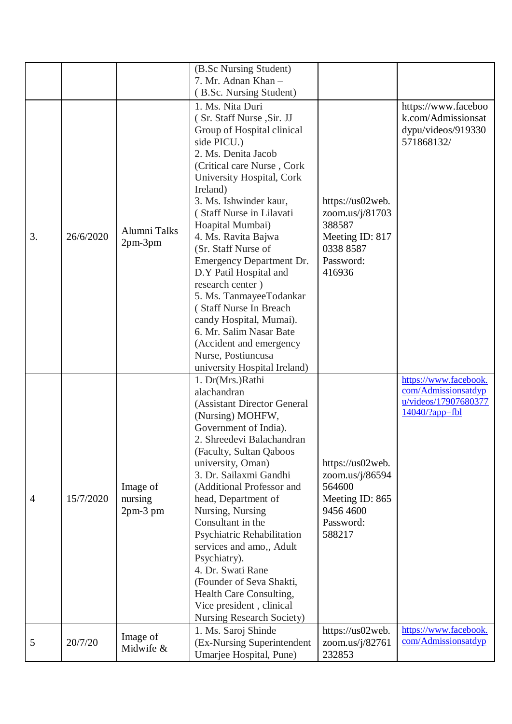|                |           |              | (B.Sc Nursing Student)           |                  |                                           |
|----------------|-----------|--------------|----------------------------------|------------------|-------------------------------------------|
|                |           |              | 7. Mr. Adnan Khan -              |                  |                                           |
|                |           |              | (B.Sc. Nursing Student)          |                  |                                           |
|                |           |              | 1. Ms. Nita Duri                 |                  |                                           |
|                |           |              |                                  |                  | https://www.faceboo<br>k.com/Admissionsat |
|                |           |              | (Sr. Staff Nurse, Sir. JJ        |                  |                                           |
|                |           |              | Group of Hospital clinical       |                  | dypu/videos/919330                        |
|                |           |              | side PICU.)                      |                  | 571868132/                                |
|                |           |              | 2. Ms. Denita Jacob              |                  |                                           |
|                |           |              | (Critical care Nurse, Cork       |                  |                                           |
|                |           |              | University Hospital, Cork        |                  |                                           |
|                |           |              | Ireland)                         |                  |                                           |
|                |           |              | 3. Ms. Ishwinder kaur,           | https://us02web. |                                           |
|                |           |              | (Staff Nurse in Lilavati         | zoom.us/j/81703  |                                           |
|                |           | Alumni Talks | Hoapital Mumbai)                 | 388587           |                                           |
| 3.             | 26/6/2020 | $2pm-3pm$    | 4. Ms. Ravita Bajwa              | Meeting ID: 817  |                                           |
|                |           |              | (Sr. Staff Nurse of              | 0338 8587        |                                           |
|                |           |              | Emergency Department Dr.         | Password:        |                                           |
|                |           |              | D.Y Patil Hospital and           | 416936           |                                           |
|                |           |              | research center)                 |                  |                                           |
|                |           |              | 5. Ms. TanmayeeTodankar          |                  |                                           |
|                |           |              | (Staff Nurse In Breach           |                  |                                           |
|                |           |              | candy Hospital, Mumai).          |                  |                                           |
|                |           |              | 6. Mr. Salim Nasar Bate          |                  |                                           |
|                |           |              | (Accident and emergency          |                  |                                           |
|                |           |              | Nurse, Postiuncusa               |                  |                                           |
|                |           |              | university Hospital Ireland)     |                  |                                           |
|                |           |              | 1. Dr(Mrs.)Rathi                 |                  | https://www.facebook.                     |
|                |           |              | alachandran                      |                  | com/Admissionsatdyp                       |
|                |           |              | (Assistant Director General      |                  | u/videos/17907680377                      |
|                |           |              | (Nursing) MOHFW,                 |                  | $14040$ ?app=fbl                          |
|                |           |              | Government of India).            |                  |                                           |
|                |           |              | 2. Shreedevi Balachandran        |                  |                                           |
|                |           |              | (Faculty, Sultan Qaboos          |                  |                                           |
|                |           |              | university, Oman)                | https://us02web. |                                           |
|                |           |              | 3. Dr. Sailaxmi Gandhi           | zoom.us/j/86594  |                                           |
|                |           | Image of     | (Additional Professor and        | 564600           |                                           |
| $\overline{4}$ | 15/7/2020 | nursing      | head, Department of              | Meeting ID: 865  |                                           |
|                |           | $2pm-3$ pm   | Nursing, Nursing                 | 9456 4600        |                                           |
|                |           |              | Consultant in the                | Password:        |                                           |
|                |           |              | Psychiatric Rehabilitation       | 588217           |                                           |
|                |           |              | services and amo,, Adult         |                  |                                           |
|                |           |              | Psychiatry).                     |                  |                                           |
|                |           |              | 4. Dr. Swati Rane                |                  |                                           |
|                |           |              | (Founder of Seva Shakti,         |                  |                                           |
|                |           |              | Health Care Consulting,          |                  |                                           |
|                |           |              | Vice president, clinical         |                  |                                           |
|                |           |              | <b>Nursing Research Society)</b> |                  |                                           |
|                |           |              | 1. Ms. Saroj Shinde              | https://us02web. | https://www.facebook.                     |
| 5              | 20/7/20   | Image of     | (Ex-Nursing Superintendent       | zoom.us/j/82761  | com/Admissionsatdyp                       |
|                |           | Midwife &    | Umarjee Hospital, Pune)          | 232853           |                                           |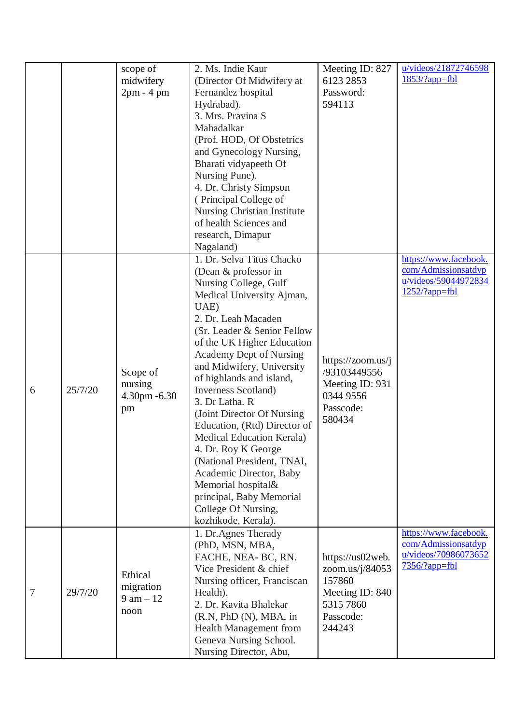|   |         | scope of<br>midwifery<br>$2pm - 4pm$                | 2. Ms. Indie Kaur<br>(Director Of Midwifery at<br>Fernandez hospital<br>Hydrabad).<br>3. Mrs. Pravina S<br>Mahadalkar<br>(Prof. HOD, Of Obstetrics<br>and Gynecology Nursing,<br>Bharati vidyapeeth Of<br>Nursing Pune).<br>4. Dr. Christy Simpson<br>(Principal College of<br>Nursing Christian Institute<br>of health Sciences and<br>research, Dimapur<br>Nagaland)                                                                                                                                                                                                                                       | Meeting ID: 827<br>6123 2853<br>Password:<br>594113                                                  | u/videos/21872746598<br>$1853/?app=fb1$                                                  |
|---|---------|-----------------------------------------------------|--------------------------------------------------------------------------------------------------------------------------------------------------------------------------------------------------------------------------------------------------------------------------------------------------------------------------------------------------------------------------------------------------------------------------------------------------------------------------------------------------------------------------------------------------------------------------------------------------------------|------------------------------------------------------------------------------------------------------|------------------------------------------------------------------------------------------|
| 6 | 25/7/20 | Scope of<br>nursing<br>4.30pm - 6.30<br>pm          | 1. Dr. Selva Titus Chacko<br>(Dean & professor in<br>Nursing College, Gulf<br>Medical University Ajman,<br>UAE)<br>2. Dr. Leah Macaden<br>(Sr. Leader & Senior Fellow<br>of the UK Higher Education<br>Academy Dept of Nursing<br>and Midwifery, University<br>of highlands and island,<br>Inverness Scotland)<br>3. Dr Latha. R<br>(Joint Director Of Nursing)<br>Education, (Rtd) Director of<br>Medical Education Kerala)<br>4. Dr. Roy K George<br>(National President, TNAI,<br>Academic Director, Baby<br>Memorial hospital&<br>principal, Baby Memorial<br>College Of Nursing,<br>kozhikode, Kerala). | https://zoom.us/j<br>/93103449556<br>Meeting ID: 931<br>0344 9556<br>Passcode:<br>580434             | https://www.facebook.<br>com/Admissionsatdyp<br>u/videos/59044972834<br>$1252$ /?app=fbl |
| 7 | 29/7/20 | Ethical<br>migration<br>$9 \text{ am} - 12$<br>noon | 1. Dr. Agnes Therady<br>(PhD, MSN, MBA,<br>FACHE, NEA- BC, RN.<br>Vice President & chief<br>Nursing officer, Franciscan<br>Health).<br>2. Dr. Kavita Bhalekar<br>(R.N, PhD(N), MBA, in<br><b>Health Management from</b><br>Geneva Nursing School.<br>Nursing Director, Abu,                                                                                                                                                                                                                                                                                                                                  | https://us02web.<br>zoom.us/j/84053<br>157860<br>Meeting ID: 840<br>5315 7860<br>Passcode:<br>244243 | https://www.facebook.<br>com/Admissionsatdyp<br>u/videos/70986073652<br>$7356/?app=fb1$  |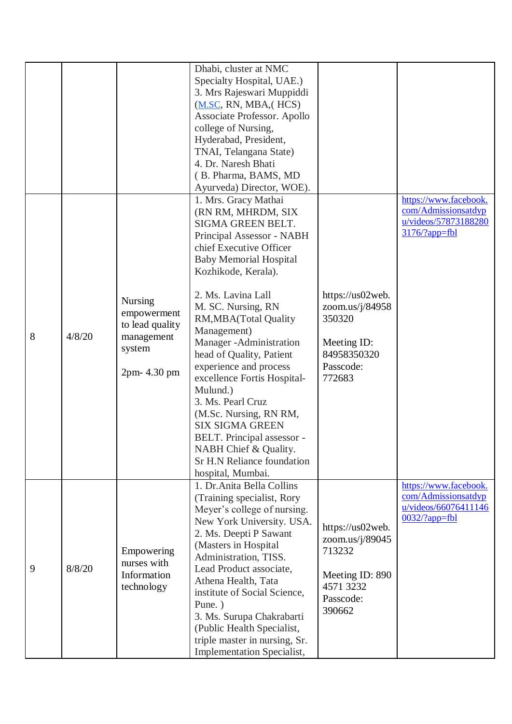|   |        |                                                                                          | Dhabi, cluster at NMC<br>Specialty Hospital, UAE.)<br>3. Mrs Rajeswari Muppiddi<br>(M.SC, RN, MBA, (HCS))<br>Associate Professor. Apollo<br>college of Nursing,<br>Hyderabad, President,<br>TNAI, Telangana State)<br>4. Dr. Naresh Bhati<br>(B. Pharma, BAMS, MD<br>Ayurveda) Director, WOE).                                                                                                                                                                                                                                                                                       |                                                                                                      |                                                                                          |
|---|--------|------------------------------------------------------------------------------------------|--------------------------------------------------------------------------------------------------------------------------------------------------------------------------------------------------------------------------------------------------------------------------------------------------------------------------------------------------------------------------------------------------------------------------------------------------------------------------------------------------------------------------------------------------------------------------------------|------------------------------------------------------------------------------------------------------|------------------------------------------------------------------------------------------|
| 8 | 4/8/20 | <b>Nursing</b><br>empowerment<br>to lead quality<br>management<br>system<br>2pm- 4.30 pm | 1. Mrs. Gracy Mathai<br>(RN RM, MHRDM, SIX<br>SIGMA GREEN BELT.<br>Principal Assessor - NABH<br>chief Executive Officer<br><b>Baby Memorial Hospital</b><br>Kozhikode, Kerala).<br>2. Ms. Lavina Lall<br>M. SC. Nursing, RN<br>RM, MBA (Total Quality<br>Management)<br>Manager - Administration<br>head of Quality, Patient<br>experience and process<br>excellence Fortis Hospital-<br>Mulund.)<br>3. Ms. Pearl Cruz<br>(M.Sc. Nursing, RN RM,<br><b>SIX SIGMA GREEN</b><br>BELT. Principal assessor -<br>NABH Chief & Quality.<br>Sr H.N Reliance foundation<br>hospital, Mumbai. | https://us02web.<br>zoom.us/j/84958<br>350320<br>Meeting ID:<br>84958350320<br>Passcode:<br>772683   | https://www.facebook.<br>com/Admissionsatdyp<br>u/videos/57873188280<br>3176/?app=fbl    |
| 9 | 8/8/20 | Empowering<br>nurses with<br>Information<br>technology                                   | 1. Dr. Anita Bella Collins<br>(Training specialist, Rory<br>Meyer's college of nursing.<br>New York University. USA.<br>2. Ms. Deepti P Sawant<br>(Masters in Hospital<br>Administration, TISS.<br>Lead Product associate,<br>Athena Health, Tata<br>institute of Social Science,<br>Pune.)<br>3. Ms. Surupa Chakrabarti<br>(Public Health Specialist,<br>triple master in nursing, Sr.<br><b>Implementation Specialist,</b>                                                                                                                                                         | https://us02web.<br>zoom.us/j/89045<br>713232<br>Meeting ID: 890<br>4571 3232<br>Passcode:<br>390662 | https://www.facebook.<br>com/Admissionsatdyp<br>u/videos/66076411146<br>$0032$ /?app=fbl |